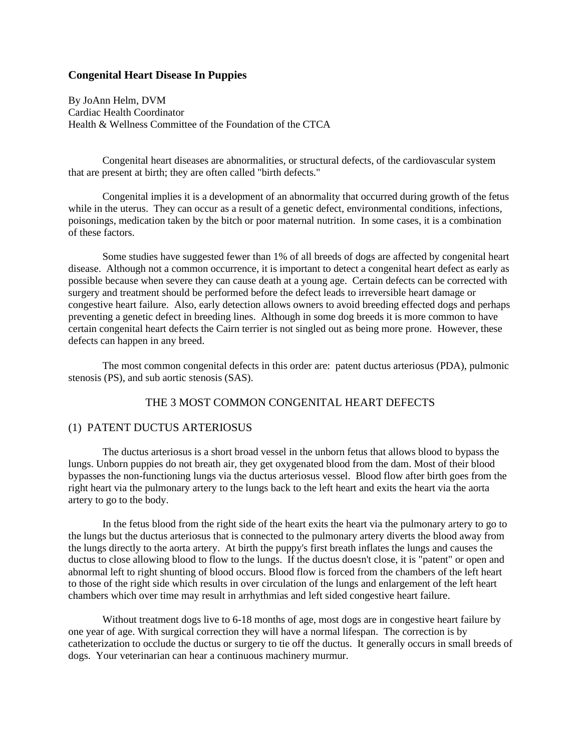# **Congenital Heart Disease In Puppies**

By JoAnn Helm, DVM Cardiac Health Coordinator Health & Wellness Committee of the Foundation of the CTCA

Congenital heart diseases are abnormalities, or structural defects, of the cardiovascular system that are present at birth; they are often called "birth defects."

Congenital implies it is a development of an abnormality that occurred during growth of the fetus while in the uterus. They can occur as a result of a genetic defect, environmental conditions, infections, poisonings, medication taken by the bitch or poor maternal nutrition. In some cases, it is a combination of these factors.

Some studies have suggested fewer than 1% of all breeds of dogs are affected by congenital heart disease. Although not a common occurrence, it is important to detect a congenital heart defect as early as possible because when severe they can cause death at a young age. Certain defects can be corrected with surgery and treatment should be performed before the defect leads to irreversible heart damage or congestive heart failure. Also, early detection allows owners to avoid breeding effected dogs and perhaps preventing a genetic defect in breeding lines. Although in some dog breeds it is more common to have certain congenital heart defects the Cairn terrier is not singled out as being more prone. However, these defects can happen in any breed.

The most common congenital defects in this order are: patent ductus arteriosus (PDA), pulmonic stenosis (PS), and sub aortic stenosis (SAS).

# THE 3 MOST COMMON CONGENITAL HEART DEFECTS

### (1) PATENT DUCTUS ARTERIOSUS

The ductus arteriosus is a short broad vessel in the unborn fetus that allows blood to bypass the lungs. Unborn puppies do not breath air, they get oxygenated blood from the dam. Most of their blood bypasses the non-functioning lungs via the ductus arteriosus vessel. Blood flow after birth goes from the right heart via the pulmonary artery to the lungs back to the left heart and exits the heart via the aorta artery to go to the body.

In the fetus blood from the right side of the heart exits the heart via the pulmonary artery to go to the lungs but the ductus arteriosus that is connected to the pulmonary artery diverts the blood away from the lungs directly to the aorta artery. At birth the puppy's first breath inflates the lungs and causes the ductus to close allowing blood to flow to the lungs. If the ductus doesn't close, it is "patent" or open and abnormal left to right shunting of blood occurs. Blood flow is forced from the chambers of the left heart to those of the right side which results in over circulation of the lungs and enlargement of the left heart chambers which over time may result in arrhythmias and left sided congestive heart failure.

Without treatment dogs live to 6-18 months of age, most dogs are in congestive heart failure by one year of age. With surgical correction they will have a normal lifespan. The correction is by catheterization to occlude the ductus or surgery to tie off the ductus. It generally occurs in small breeds of dogs. Your veterinarian can hear a continuous machinery murmur.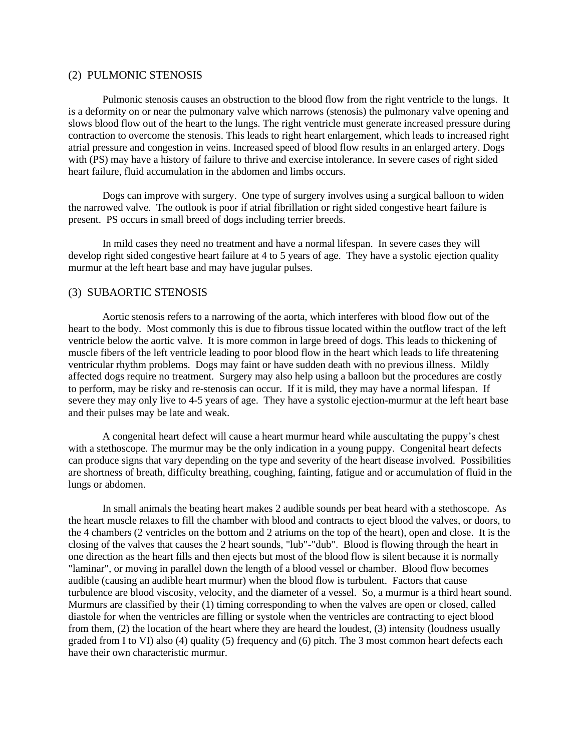#### (2) PULMONIC STENOSIS

Pulmonic stenosis causes an obstruction to the blood flow from the right ventricle to the lungs. It is a deformity on or near the pulmonary valve which narrows (stenosis) the pulmonary valve opening and slows blood flow out of the heart to the lungs. The right ventricle must generate increased pressure during contraction to overcome the stenosis. This leads to right heart enlargement, which leads to increased right atrial pressure and congestion in veins. Increased speed of blood flow results in an enlarged artery. Dogs with (PS) may have a history of failure to thrive and exercise intolerance. In severe cases of right sided heart failure, fluid accumulation in the abdomen and limbs occurs.

Dogs can improve with surgery. One type of surgery involves using a surgical balloon to widen the narrowed valve. The outlook is poor if atrial fibrillation or right sided congestive heart failure is present. PS occurs in small breed of dogs including terrier breeds.

In mild cases they need no treatment and have a normal lifespan. In severe cases they will develop right sided congestive heart failure at 4 to 5 years of age. They have a systolic ejection quality murmur at the left heart base and may have jugular pulses.

### (3) SUBAORTIC STENOSIS

Aortic stenosis refers to a narrowing of the aorta, which interferes with blood flow out of the heart to the body. Most commonly this is due to fibrous tissue located within the outflow tract of the left ventricle below the aortic valve. It is more common in large breed of dogs. This leads to thickening of muscle fibers of the left ventricle leading to poor blood flow in the heart which leads to life threatening ventricular rhythm problems. Dogs may faint or have sudden death with no previous illness. Mildly affected dogs require no treatment. Surgery may also help using a balloon but the procedures are costly to perform, may be risky and re-stenosis can occur. If it is mild, they may have a normal lifespan. If severe they may only live to 4-5 years of age. They have a systolic ejection-murmur at the left heart base and their pulses may be late and weak.

A congenital heart defect will cause a heart murmur heard while auscultating the puppy's chest with a stethoscope. The murmur may be the only indication in a young puppy. Congenital heart defects can produce signs that vary depending on the type and severity of the heart disease involved. Possibilities are shortness of breath, difficulty breathing, coughing, fainting, fatigue and or accumulation of fluid in the lungs or abdomen.

In small animals the beating heart makes 2 audible sounds per beat heard with a stethoscope. As the heart muscle relaxes to fill the chamber with blood and contracts to eject blood the valves, or doors, to the 4 chambers (2 ventricles on the bottom and 2 atriums on the top of the heart), open and close. It is the closing of the valves that causes the 2 heart sounds, "lub"-"dub". Blood is flowing through the heart in one direction as the heart fills and then ejects but most of the blood flow is silent because it is normally "laminar", or moving in parallel down the length of a blood vessel or chamber. Blood flow becomes audible (causing an audible heart murmur) when the blood flow is turbulent. Factors that cause turbulence are blood viscosity, velocity, and the diameter of a vessel. So, a murmur is a third heart sound. Murmurs are classified by their (1) timing corresponding to when the valves are open or closed, called diastole for when the ventricles are filling or systole when the ventricles are contracting to eject blood from them, (2) the location of the heart where they are heard the loudest, (3) intensity (loudness usually graded from I to VI) also (4) quality (5) frequency and (6) pitch. The 3 most common heart defects each have their own characteristic murmur.